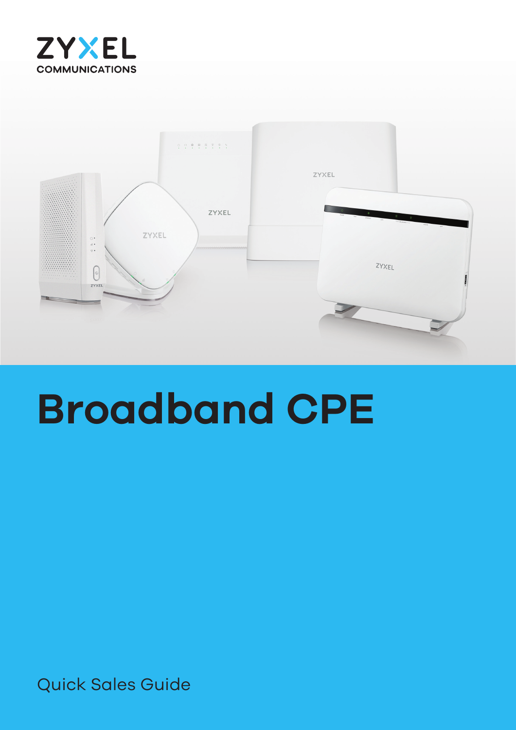



# **Broadband CPE**

Quick Sales Guide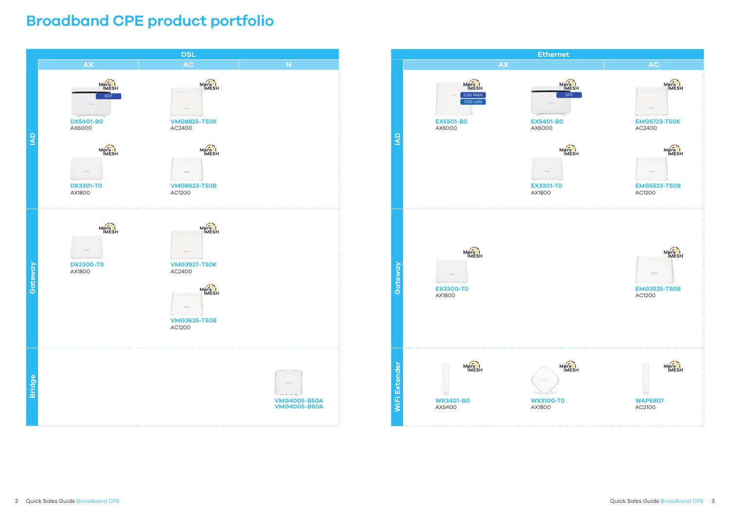# **Broadband CPE product portfolio**



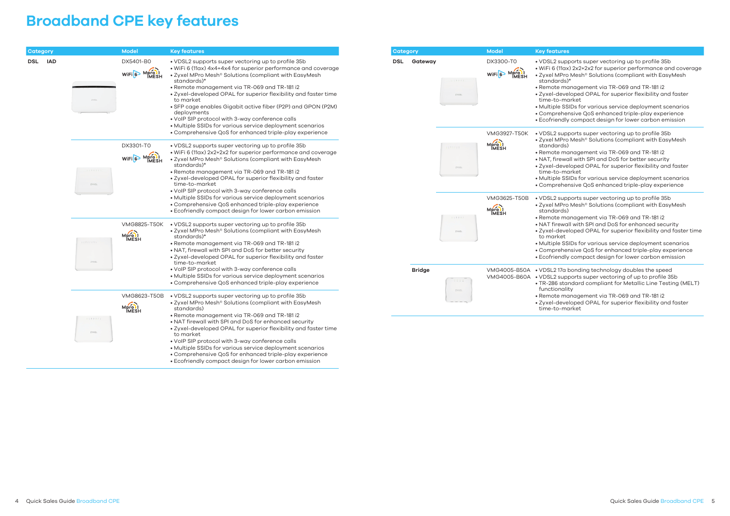### **Broadband CPE key features**

| Category   |            |                          | <b>Model</b>                          | <b>Key features</b>                                                                                                                                                                                                                                                                                                                                                                                                                                                                                                        | Category   |                  |                                       | <b>Model</b>                                                                                                                                        | <b>Key f</b>                                                                                                                                         |
|------------|------------|--------------------------|---------------------------------------|----------------------------------------------------------------------------------------------------------------------------------------------------------------------------------------------------------------------------------------------------------------------------------------------------------------------------------------------------------------------------------------------------------------------------------------------------------------------------------------------------------------------------|------------|------------------|---------------------------------------|-----------------------------------------------------------------------------------------------------------------------------------------------------|------------------------------------------------------------------------------------------------------------------------------------------------------|
| <b>DSL</b> | <b>IAD</b> | ZYXEL                    | DX5401-B0<br>WIFI <sup>6</sup> Mpro I | • VDSL2 supports super vectoring up to profile 35b<br>• WiFi 6 (11ax) 4x4+4x4 for superior performance and coverage<br>• Zyxel MPro Mesh® Solutions (compliant with EasyMesh<br>standards)*<br>• Remote management via TR-069 and TR-181 i2<br>· Zyxel-developed OPAL for superior flexibility and faster time<br>to market<br>· SFP cage enables Gigabit active fiber (P2P) and GPON (P2M)<br>deployments<br>• VoIP SIP protocol with 3-way conference calls<br>• Multiple SSIDs for various service deployment scenarios | <b>DSL</b> | Gateway<br>ZYXEL | DX3300-T0<br>WIFI <sup>6</sup> Mprovi | $\bullet$ VDS<br>$\bullet$ WiF<br>$\bullet$ Zyx<br>star<br>$\bullet$ Ren<br>$\bullet$ Zyx<br>tim<br>$\bullet$ Mul<br>$\bullet$ Cor<br>$\bullet$ Eco |                                                                                                                                                      |
|            |            | 2.8.8.3<br>ZYXEL         | DX3301-T0<br>WIFI <sup>6</sup> Mprovi | • Comprehensive QoS for enhanced triple-play experience<br>• VDSL2 supports super vectoring up to profile 35b<br>• WiFi 6 (11ax) 2x2+2x2 for superior performance and coverage<br>• Zyxel MPro Mesh® Solutions (compliant with EasyMesh<br>standards)*<br>• Remote management via TR-069 and TR-181 i2<br>• Zyxel-developed OPAL for superior flexibility and faster<br>time-to-market<br>. VoIP SIP protocol with 3-way conference calls                                                                                  |            |                  | 1111111<br>ZYXEL                      | <b>VMG3927-T50K</b><br>Mpro I                                                                                                                       | $\bullet$ VDS<br>$\bullet$ Zyx<br>star<br>$\bullet$ Ren<br>$\bullet$ NAT<br>$\bullet$ Zyx<br>tim<br>$\bullet$ Mul<br>$\bullet$ Cor                   |
|            |            | : : : : : : : :<br>ZYXEL | <b>VMG8825-T50K</b><br>Mpro )         | • Multiple SSIDs for various service deployment scenarios<br>• Comprehensive QoS enhanced triple-play experience<br>• Ecofriendly compact design for lower carbon emission<br>• VDSL2 supports super vectoring up to profile 35b<br>• Zyxel MPro Mesh® Solutions (compliant with EasyMesh<br>standards)*<br>. Remote management via TR-069 and TR-181 i2<br>• NAT, firewall with SPI and DoS for better security<br>• Zyxel-developed OPAL for superior flexibility and faster                                             |            |                  | 2.2.2.7.7.7<br>ZYXEL                  | <b>VMG3625-T50B</b><br>Mpro )                                                                                                                       | $\bullet$ VDS<br>$\bullet$ Zyx<br>star<br>$\bullet$ Ren<br>$\bullet$ NAT<br>$\bullet$ Zyx<br>to n<br>$\bullet$ Mul<br>$\bullet$ Cor<br>$\bullet$ Eco |
|            |            |                          | <b>VMG8623-T50B</b><br>Mpro )         | time-to-market<br>• VoIP SIP protocol with 3-way conference calls<br>• Multiple SSIDs for various service deployment scenarios<br>• Comprehensive QoS enhanced triple-play experience<br>• VDSL2 supports super vectoring up to profile 35b<br>• Zyxel MPro Mesh® Solutions (compliant with EasyMesh<br>standards)                                                                                                                                                                                                         |            | <b>Bridge</b>    | 0.0666<br>ZYXEL                       | VMG4005-B50A . VDS<br>VMG4005-B60A . VDS                                                                                                            | $\bullet$ TR-<br>fun<br>$\bullet$ Ren<br>$\bullet$ Zyx<br>time                                                                                       |
|            |            | 22222222<br>ZYXEL        |                                       | · Remote management via TR-069 and TR-181 i2<br>. NAT firewall with SPI and DoS for enhanced security<br>· Zyxel-developed OPAL for superior flexibility and faster time<br>to market<br>. VoIP SIP protocol with 3-way conference calls<br>• Multiple SSIDs for various service deployment scenarios<br>• Comprehensive QoS for enhanced triple-play experience<br>• Ecofriendly compact design for lower carbon emission                                                                                                 |            |                  |                                       |                                                                                                                                                     |                                                                                                                                                      |

#### eatures

**SL2** supports super vectoring up to profile 35b

- Fi 6 (11ax) 2x2+2x2 for superior performance and coverage kel MPro Mesh® Solutions (compliant with EasyMesh ndards)\*
- Remote management via TR-069 and TR-181 i2 el-developed OPAL for superior flexibility and faster e-to-market
- ltiple SSIDs for various service deployment scenarios mprehensive QoS enhanced triple-play experience ofriendly compact design for lower carbon emission
- SL2 supports super vectoring up to profile 35b kel MPro Mesh® Solutions (compliant with EasyMesh ndards)
- Remote management via TR-069 and TR-181 i2 T, firewall with SPI and DoS for better security rel-developed OPAL for superior flexibility and faster e-to-market
- Itiple SSIDs for various service deployment scenarios mprehensive QoS enhanced triple-play experience
- SL2 supports super vectoring up to profile 35b kel MPro Mesh® Solutions (compliant with EasyMesh ndards)
- Remote management via TR-069 and TR-181 i2
- **T** firewall with SPI and DoS for enhanced security  $\epsilon$ el-developed OPAL for superior flexibility and faster time market
- ltiple SSIDs for various service deployment scenarios mprehensive QoS for enhanced triple-play experience ofriendly compact design for lower carbon emission
- SL2 17a bonding technology doubles the speed SL2 supports super vectoring of up to profile 35b -286 standard compliant for Metallic Line Testing (MELT) **ictionality**
- Remote management via TR-069 and TR-181 i2 el-developed OPAL for superior flexibility and faster e-to-market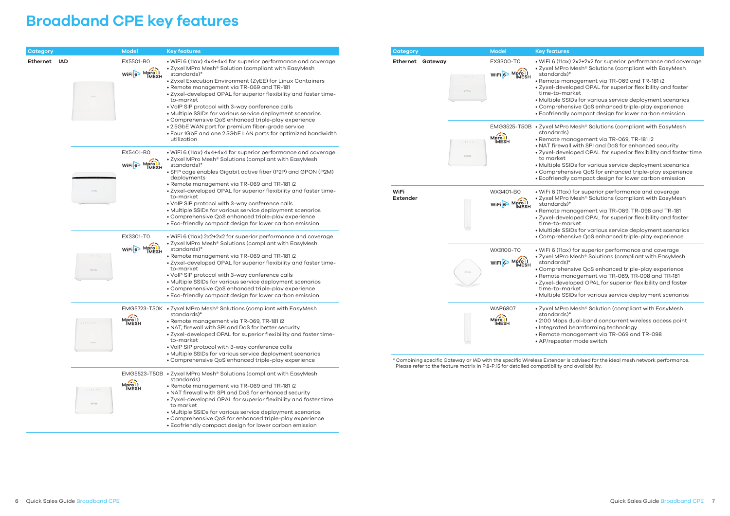#### **y** features

### **Broadband CPE key features**

WiFi 6 (11ax) 2x2+2x2 for superior performance and coverage • Zyxel MPro Mesh® Solutions (compliant with EasyMesh standards)\* • Remote management via TR-069 and TR-181 i2

Zyxel MPro Mesh® Solutions (compliant with EasyMesh standards)

| Category     |                   | <b>Model</b>                          | <b>Key features</b>                                                                                                                                                                                                                                                                                                                                                                                                                                                                                                  | Category                       |                                                                                                                                  | <b>Model</b><br>K                                                                  |
|--------------|-------------------|---------------------------------------|----------------------------------------------------------------------------------------------------------------------------------------------------------------------------------------------------------------------------------------------------------------------------------------------------------------------------------------------------------------------------------------------------------------------------------------------------------------------------------------------------------------------|--------------------------------|----------------------------------------------------------------------------------------------------------------------------------|------------------------------------------------------------------------------------|
| Ethernet IAD |                   | EX5501-B0<br>WIFI <sup>6</sup> Mpro 1 | • WiFi 6 (11ax) 4x4+4x4 for superior performance and coverage<br>• Zyxel MPro Mesh <sup>®</sup> Solution (compliant with EasyMesh<br>standards)*<br>• Zyxel Execution Environment (ZyEE) for Linux Containers<br>• Remote management via TR-069 and TR-181<br>. Zyxel-developed OPAL for superior flexibility and faster time-<br>to-market                                                                                                                                                                          |                                | <b>Ethernet Gateway</b><br>2233<br>ZYXEL                                                                                         | EX3300-T0<br>WiFi6                                                                 |
|              |                   |                                       | . VoIP SIP protocol with 3-way conference calls<br>· Multiple SSIDs for various service deployment scenarios<br>• Comprehensive QoS enhanced triple-play experience<br>• 2.5GbE WAN port for premium fiber-grade service<br>• Four 1GbE and one 2.5GbE LAN ports for optimized bandwidth<br>utilization                                                                                                                                                                                                              |                                | 111111                                                                                                                           | EMG3525-T50B<br>Mpro )<br>IMESH                                                    |
|              |                   | EX5401-B0<br>WIFI <sup>6</sup> Mpro I | · WiFi 6 (11ax) 4x4+4x4 for superior performance and coverage<br>• Zyxel MPro Mesh <sup>®</sup> Solutions (compliant with EasyMesh<br>standards)*<br>• SFP cage enables Gigabit active fiber (P2P) and GPON (P2M)<br>deployments                                                                                                                                                                                                                                                                                     |                                | ZYXEL                                                                                                                            | $\bullet$ (<br>$\bullet$ E                                                         |
|              |                   |                                       | • Remote management via TR-069 and TR-181 i2<br>. Zyxel-developed OPAL for superior flexibility and faster time-<br>to-market<br>• VoIP SIP protocol with 3-way conference calls<br>· Multiple SSIDs for various service deployment scenarios<br>• Comprehensive QoS enhanced triple-play experience<br>• Eco-friendly compact design for lower carbon emission                                                                                                                                                      | <b>WiFi</b><br><b>Extender</b> |                                                                                                                                  | WX3401-B0<br>WIFI <sup>6</sup> Mpro 1                                              |
|              | ZYXEL             | EX3301-T0<br>WIFI <sup>6</sup> Mpro)  | · WiFi 6 (11ax) 2x2+2x2 for superior performance and coverage<br>• Zyxel MPro Mesh <sup>®</sup> Solutions (compliant with EasyMesh<br>standards)*<br>. Remote management via TR-069 and TR-181 i2<br>. Zyxel-developed OPAL for superior flexibility and faster time-<br>to-market<br>. VoIP SIP protocol with 3-way conference calls<br>· Multiple SSIDs for various service deployment scenarios<br>• Comprehensive QoS enhanced triple-play experience<br>• Eco-friendly compact design for lower carbon emission |                                | ZYXEL                                                                                                                            | $\bullet$ (<br>WX3100-T0<br>WIFI <sup>6</sup> Mpro I<br>$\bullet$ 2<br>$\bullet$ \ |
|              | 22222222<br>ZYXEL | Mpro )                                | EMG5723-T50K • Zyxel MPro Mesh <sup>®</sup> Solutions (compliant with EasyMesh<br>standards)*<br>· Remote management via TR-069, TR-181 i2<br>. NAT, firewall with SPI and DoS for better security<br>. Zyxel-developed OPAL for superior flexibility and faster time-<br>to-market<br>. VoIP SIP protocol with 3-way conference calls<br>• Multiple SSIDs for various service deployment scenarios                                                                                                                  |                                |                                                                                                                                  | <b>WAP6807</b><br>$\bullet$ 2<br>Mpro)<br>$\bullet'$<br>$\bullet$                  |
|              | 1222222<br>ZYXEL  | EMG5523-T50B<br>Mpro )                | • Comprehensive QoS enhanced triple-play experience<br>• Zyxel MPro Mesh <sup>®</sup> Solutions (compliant with EasyMesh<br>standards)<br>. Remote management via TR-069 and TR-181 i2<br>. NAT firewall with SPI and DoS for enhanced security<br>• Zyxel-developed OPAL for superior flexibility and faster time<br>to market<br>• Multiple SSIDs for various service deployment scenarios<br>• Comprehensive QoS for enhanced triple-play experience<br>• Ecofriendly compact design for lower carbon emission    |                                | * Combining specific Gateway or IAD with the specific Wireles<br>Please refer to the feature matrix in P.8-P.15 for detailed com |                                                                                    |

WiFi 6 (11ax) for superior performance and coverage Zyxel MPro Mesh® Solutions (compliant with EasyMesh standards)\*

WiFi 6 (11ax) for superior performance and coverage • Zyxel MPro Mesh® Solutions (compliant with EasyMesh standards)\*

Zyxel-developed OPAL for superior flexibility and faster time-to-market

Zyxel MPro Mesh® Solution (compliant with EasyMesh standards)\*

 $\bar{s}$  Extender is advised for the ideal mesh network performance. Please refer to the feature matrix in P.8-P.15 for detailed compatibility and availability.

• Zyxel-developed OPAL for superior flexibility and faster time-to-market

• Multiple SSIDs for various service deployment scenarios • Comprehensive QoS enhanced triple-play experience • Ecofriendly compact design for lower carbon emission

• Remote management via TR-069, TR-181 i2

• NAT firewall with SPI and DoS for enhanced security Zyxel-developed OPAL for superior flexibility and faster time to market

• Multiple SSIDs for various service deployment scenarios • Comprehensive QoS for enhanced triple-play experience • Ecofriendly compact design for lower carbon emission

• Remote management via TR-069, TR-098 and TR-181 • Zyxel-developed OPAL for superior flexibility and faster time-to-market

• Multiple SSIDs for various service deployment scenarios • Comprehensive QoS enhanced triple-play experience

• Comprehensive QoS enhanced triple-play experience • Remote management via TR-069, TR-098 and TR-181

• Multiple SSIDs for various service deployment scenarios

• 2100 Mbps dual-band concurrent wireless access point • Integrated beamforming technology

• Remote management via TR-069 and TR-098 • AP/repeater mode switch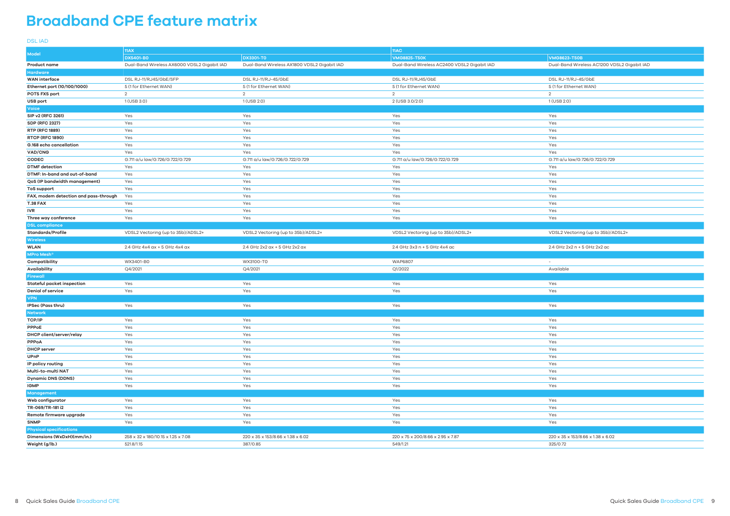# **Broadband CPE feature matrix**

DSL IAD

|                                       | 11AX                                        |                                             | 11AC                                        |                                             |  |
|---------------------------------------|---------------------------------------------|---------------------------------------------|---------------------------------------------|---------------------------------------------|--|
| Model                                 | <b>DX5401-BO</b>                            | <b>DX3301-TO</b>                            | <b>VMG8825-T50K</b>                         | <b>VMG8623-T50B</b>                         |  |
| <b>Product name</b>                   | Dual-Band Wireless AX6000 VDSL2 Gigabit IAD | Dual-Band Wireless AX1800 VDSL2 Gigabit IAD | Dual-Band Wireless AC2400 VDSL2 Gigabit IAD | Dual-Band Wireless AC1200 VDSL2 Gigabit IAD |  |
| <b>Hardware</b>                       |                                             |                                             |                                             |                                             |  |
| <b>WAN</b> interface                  | DSL RJ-11/RJ45/GbE/SFP                      | DSL RJ-11/RJ-45/GbE                         | DSL RJ-11/RJ45/GbE                          | DSL RJ-11/RJ-45/GbE                         |  |
| Ethernet port (10/100/1000)           | 5 (1 for Ethernet WAN)                      | 5 (1 for Ethernet WAN)                      | 5 (1 for Ethernet WAN)                      | 5 (1 for Ethernet WAN)                      |  |
| POTS FXS port                         | 2                                           | $\overline{2}$                              | 2                                           | $\overline{2}$                              |  |
| USB port                              | 1 (USB 3.0)                                 | 1 (USB 2.0)                                 | 2 (USB 3.0/2.0)                             | 1 (USB 2.0)                                 |  |
| Voice                                 |                                             |                                             |                                             |                                             |  |
| SIP v2 (RFC 3261)                     | Yes                                         | Yes                                         | Yes                                         | Yes                                         |  |
| <b>SDP (RFC 2327)</b>                 | Yes                                         | Yes                                         | Yes                                         | Yes                                         |  |
|                                       |                                             |                                             |                                             |                                             |  |
| <b>RTP (RFC 1889)</b>                 | Yes                                         | Yes                                         | Yes                                         | Yes                                         |  |
| <b>RTCP (RFC 1890)</b>                | Yes                                         | Yes                                         | Yes                                         | Yes                                         |  |
| G.168 echo cancellation               | Yes                                         | Yes                                         | Yes                                         | Yes                                         |  |
| VAD/CNG                               | Yes                                         | Yes                                         | Yes                                         | Yes                                         |  |
| <b>CODEC</b>                          | G.711 a/u law/G.726/G.722/G.729             | G.711 a/u law/G.726/G.722/G.729             | G.711 a/u law/G.726/G.722/G.729             | G.711 a/u law/G.726/G.722/G.729             |  |
| <b>DTMF</b> detection                 | Yes                                         | Yes                                         | Yes                                         | Yes                                         |  |
| DTMF: In-band and out-of-band         | Yes                                         | Yes                                         | Yes                                         | Yes                                         |  |
| QoS (IP bandwidth management)         | Yes                                         | Yes                                         | Yes                                         | Yes                                         |  |
| ToS support                           | Yes                                         | Yes                                         | Yes                                         | Yes                                         |  |
| FAX, modem detection and pass-through | Yes                                         | Yes                                         | Yes                                         | Yes                                         |  |
| <b>T.38 FAX</b>                       | Yes                                         | Yes                                         | Yes                                         | Yes                                         |  |
| <b>IVR</b>                            | Yes                                         | Yes                                         | Yes                                         | Yes                                         |  |
| Three way conference                  | Yes                                         | Yes                                         | Yes                                         | Yes                                         |  |
| <b>DSL compliance</b>                 |                                             |                                             |                                             |                                             |  |
| <b>Standards/Profile</b>              | VDSL2 Vectoring (up to 35b)/ADSL2+          | VDSL2 Vectoring (up to 35b)/ADSL2+          | VDSL2 Vectoring (up to 35b)/ADSL2+          | VDSL2 Vectoring (up to 35b)/ADSL2+          |  |
| <b>Wireless</b>                       |                                             |                                             |                                             |                                             |  |
| <b>WLAN</b>                           | 2.4 GHz 4x4 ax + 5 GHz 4x4 ax               | 2.4 GHz 2x2 ax + 5 GHz 2x2 ax               | 2.4 GHz 3x3 n + 5 GHz 4x4 ac                | 2.4 GHz 2x2 n + 5 GHz 2x2 ac                |  |
| MPro Mesh <sup>®</sup>                |                                             |                                             |                                             |                                             |  |
| Compatibility                         | WX3401-B0                                   | WX3100-T0                                   | <b>WAP6807</b>                              | $\overline{\phantom{a}}$                    |  |
| Availability                          | Q4/2021                                     | Q4/2021                                     | Q1/2022                                     | Available                                   |  |
| Firewall                              |                                             |                                             |                                             |                                             |  |
| Stateful packet inspection            | Yes                                         | Yes                                         | Yes                                         | Yes                                         |  |
| <b>Denial of service</b>              | Yes                                         | Yes                                         | Yes                                         | Yes                                         |  |
| <b>VPN</b>                            |                                             |                                             |                                             |                                             |  |
| IPSec (Pass thru)                     | Yes                                         | Yes                                         | Yes                                         | Yes                                         |  |
| <b>Network</b>                        |                                             |                                             |                                             |                                             |  |
| TCP/IP                                | Yes                                         | Yes                                         | Yes                                         | Yes                                         |  |
| PPPoE                                 | Yes                                         | Yes                                         | Yes                                         | Yes                                         |  |
| DHCP client/server/relay              | Yes                                         | Yes                                         | Yes                                         | Yes                                         |  |
| PPPoA                                 | Yes                                         | Yes                                         | Yes                                         | Yes                                         |  |
| <b>DHCP</b> server                    | Yes                                         | Yes                                         | Yes                                         | Yes                                         |  |
| UPnP                                  | Yes                                         | Yes                                         | Yes                                         | Yes                                         |  |
| IP policy routing                     | Yes                                         | Yes                                         | Yes                                         | Yes                                         |  |
| Multi-to-multi NAT                    | Yes                                         | Yes                                         | Yes                                         | Yes                                         |  |
| <b>Dynamic DNS (DDNS)</b>             | Yes                                         | Yes                                         | Yes                                         | Yes                                         |  |
| <b>IGMP</b>                           | Yes                                         | Yes                                         | Yes                                         | Yes                                         |  |
| Management                            |                                             |                                             |                                             |                                             |  |
| Web configurator                      | Yes                                         | Yes                                         | Yes                                         | Yes                                         |  |
| TR-069/TR-181 i2                      | Yes                                         | Yes                                         | Yes                                         | Yes                                         |  |
|                                       | Yes                                         | Yes                                         | Yes                                         |                                             |  |
| Remote firmware upgrade               |                                             |                                             |                                             | Yes                                         |  |
| <b>SNMP</b>                           | Yes                                         | Yes                                         | Yes                                         | Yes                                         |  |
| <b>Physical specifications</b>        |                                             |                                             |                                             |                                             |  |
| Dimensions (WxDxH)(mm/in.)            | 258 x 32 x 180/10.15 x 1.25 x 7.08          | 220 x 35 x 153/8.66 x 1.38 x 6.02           | 220 x 75 x 200/8.66 x 2.95 x 7.87           | 220 x 35 x 153/8.66 x 1.38 x 6.02           |  |
| Weight (g/lb.)                        | 521.8/1.15                                  | 387/0.85                                    | 549/1.21                                    | 325/0.72                                    |  |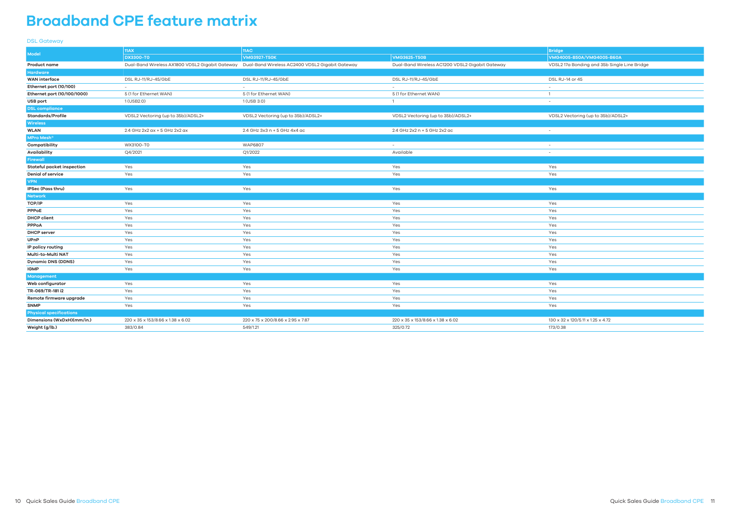- **DX3300-T0 VMG3927-T50K VMG3625-T50B VMG4005-B50A/VMG4005-B60A**
- <u>.</u><br>DSL2 17a Bonding and 35b Single Line Bridge

words<br>Apsilia Vectoring (up to 35b)/ADSL2+ Vectoring (up to 35b)

| es                               |
|----------------------------------|
| es                               |
|                                  |
| es                               |
|                                  |
| es                               |
| es                               |
| es                               |
| es                               |
| es                               |
| es                               |
| es                               |
| es                               |
| es                               |
| es                               |
|                                  |
| es                               |
| es                               |
| es                               |
| es                               |
|                                  |
| 30 x 32 x 120/5.11 x 1.25 x 4.72 |

#### DSL Gateway

|                                   | 11AX                                            | 11AC                                            |                                                 | <b>Bridge</b>                     |  |
|-----------------------------------|-------------------------------------------------|-------------------------------------------------|-------------------------------------------------|-----------------------------------|--|
| <b>Model</b>                      | <b>DX3300-T0</b>                                | <b>VMG3927-T50K</b>                             | <b>VMG3625-T50B</b>                             | VMG4005-B50A/VMG4005-             |  |
| <b>Product name</b>               | Dual-Band Wireless AX1800 VDSL2 Gigabit Gateway | Dual-Band Wireless AC2400 VDSL2 Gigabit Gateway | Dual-Band Wireless AC1200 VDSL2 Gigabit Gateway | VDSL2 17a Bonding and 35b         |  |
| <b>Hardware</b>                   |                                                 |                                                 |                                                 |                                   |  |
| <b>WAN</b> interface              | DSL RJ-11/RJ-45/GbE                             | DSL RJ-11/RJ-45/GbE                             | DSL RJ-11/RJ-45/GbE                             | DSL RJ-14 or 45                   |  |
| Ethernet port (10/100)            | $\sim$                                          | $\sim$                                          | $\sim$                                          |                                   |  |
| Ethernet port (10/100/1000)       | 5 (1 for Ethernet WAN)                          | 5 (1 for Ethernet WAN)                          | 5 (1 for Ethernet WAN)                          | $\mathbf{1}$                      |  |
| USB port                          | 1(USB2.0)                                       | 1 (USB 3.0)                                     | $\mathbf{1}$                                    | $\sim$                            |  |
| <b>DSL</b> compliance             |                                                 |                                                 |                                                 |                                   |  |
| <b>Standards/Profile</b>          | VDSL2 Vectoring (up to 35b)/ADSL2+              | VDSL2 Vectoring (up to 35b)/ADSL2+              | VDSL2 Vectoring (up to 35b)/ADSL2+              | VDSL2 Vectoring (up to 35b)       |  |
| <b>Wireless</b>                   |                                                 |                                                 |                                                 |                                   |  |
| <b>WLAN</b>                       | 2.4 GHz 2x2 ax + 5 GHz 2x2 ax                   | 2.4 GHz 3x3 n + 5 GHz 4x4 ac                    | 2.4 GHz 2x2 n + 5 GHz 2x2 ac                    | $\sim$                            |  |
| <b>MPro Mesh<sup>®</sup></b>      |                                                 |                                                 |                                                 |                                   |  |
| Compatibility                     | WX3100-T0                                       | <b>WAP6807</b>                                  |                                                 |                                   |  |
| Availability                      | Q4/2021                                         | Q1/2022                                         | Available                                       | $\sim$                            |  |
| <b>Firewall</b>                   |                                                 |                                                 |                                                 |                                   |  |
| <b>Stateful packet inspection</b> | Yes                                             | Yes                                             | Yes                                             | Yes                               |  |
| Denial of service                 | Yes                                             | Yes                                             | Yes                                             | Yes                               |  |
| <b>VPN</b>                        |                                                 |                                                 |                                                 |                                   |  |
| IPSec (Pass thru)                 | Yes                                             | Yes                                             | Yes                                             | Yes                               |  |
| <b>Network</b>                    |                                                 |                                                 |                                                 |                                   |  |
| TCP/IP                            | Yes                                             | Yes                                             | Yes                                             | Yes                               |  |
| <b>PPPoE</b>                      | Yes                                             | Yes                                             | Yes                                             | Yes                               |  |
| <b>DHCP client</b>                | Yes                                             | Yes                                             | Yes                                             | Yes                               |  |
| <b>PPPoA</b>                      | Yes                                             | Yes                                             | Yes                                             | Yes                               |  |
| <b>DHCP</b> server                | Yes                                             | Yes                                             | Yes                                             | Yes                               |  |
| UPnP                              | Yes                                             | Yes                                             | Yes                                             | Yes                               |  |
| IP policy routing                 | Yes                                             | Yes                                             | Yes                                             | Yes                               |  |
| Multi-to-Multi NAT                | Yes                                             | Yes                                             | Yes                                             | Yes                               |  |
| <b>Dynamic DNS (DDNS)</b>         | Yes                                             | Yes                                             | Yes                                             | Yes                               |  |
| <b>IGMP</b>                       | Yes                                             | Yes                                             | Yes                                             | Yes                               |  |
| Management                        |                                                 |                                                 |                                                 |                                   |  |
| Web configurator                  | Yes                                             | Yes                                             | Yes                                             | Yes                               |  |
| TR-069/TR-181 i2                  | Yes                                             | Yes                                             | Yes                                             | Yes                               |  |
| Remote firmware upgrade           | Yes                                             | Yes                                             | Yes                                             | Yes                               |  |
| <b>SNMP</b>                       | Yes                                             | Yes                                             | Yes                                             | Yes                               |  |
| <b>Physical specifications</b>    |                                                 |                                                 |                                                 |                                   |  |
| Dimensions (WxDxH)(mm/in.)        | 220 x 35 x 153/8.66 x 1.38 x 6.02               | 220 x 75 x 200/8.66 x 2.95 x 7.87               | 220 x 35 x 153/8.66 x 1.38 x 6.02               | 130 x 32 x 120/5.11 x 1.25 x 4.72 |  |
| Weight (g/lb.)                    | 383/0.84                                        | 549/1.21                                        | 325/0.72                                        | 173/0.38                          |  |

# **Broadband CPE feature matrix**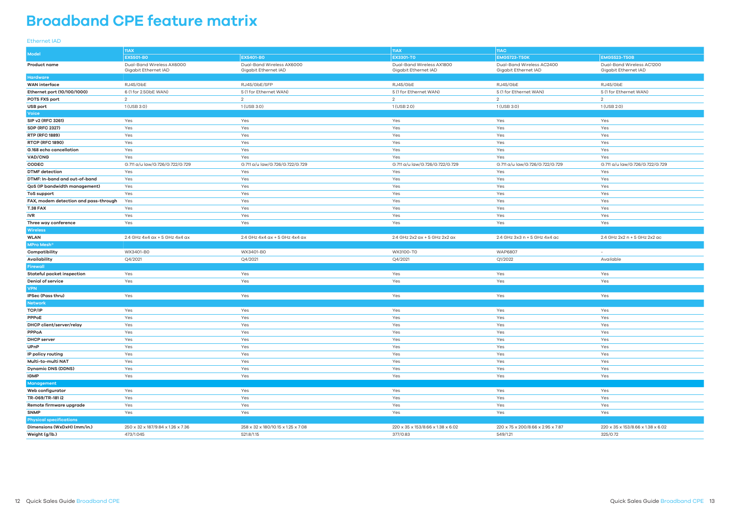# **Broadband CPE feature matrix**

### Ethernet IAD

|                                       | 11AX                                              |                                                   | 11AX <br>  <sub>11AC</sub>                        |                                                   |                                                   |
|---------------------------------------|---------------------------------------------------|---------------------------------------------------|---------------------------------------------------|---------------------------------------------------|---------------------------------------------------|
| <b>Model</b>                          | <b>EX5501-BO</b>                                  | <b>EX5401-BO</b>                                  | <b>EX3301-TO</b>                                  | <b>EMG5723-T50K</b>                               | <b>EMG5523-T50B</b>                               |
| <b>Product name</b>                   | Dual-Band Wireless AX6000<br>Gigabit Ethernet IAD | Dual-Band Wireless AX6000<br>Gigabit Ethernet IAD | Dual-Band Wireless AX1800<br>Gigabit Ethernet IAD | Dual-Band Wireless AC2400<br>Gigabit Ethernet IAD | Dual-Band Wireless AC1200<br>Gigabit Ethernet IAD |
| Hardware                              |                                                   |                                                   |                                                   |                                                   |                                                   |
| <b>WAN</b> interface                  | RJ45/GbE                                          | RJ45/GbE/SFP                                      | RJ45/GbE                                          | RJ45/GbE                                          | RJ45/GbE                                          |
| Ethernet port (10/100/1000)           | 6 (1 for 2.5GbE WAN)                              | 5 (1 for Ethernet WAN)                            | 5 (1 for Ethernet WAN)                            | 5 (1 for Ethernet WAN)                            | 5 (1 for Ethernet WAN)                            |
| POTS FXS port                         | 2                                                 | $\overline{2}$                                    | 2                                                 | 2                                                 | 2                                                 |
| <b>USB port</b>                       | 1 (USB 3.0)                                       | 1 (USB 3.0)                                       | 1 (USB 2.0)                                       | 1 (USB 3.0)                                       | 1 (USB 2.0)                                       |
| Voice                                 |                                                   |                                                   |                                                   |                                                   |                                                   |
| SIP v2 (RFC 3261)                     | Yes                                               | Yes                                               | Yes                                               | Yes                                               | Yes                                               |
| <b>SDP (RFC 2327)</b>                 | Yes                                               | Yes                                               | Yes                                               | Yes                                               | Yes                                               |
| <b>RTP (RFC 1889)</b>                 | Yes                                               | Yes                                               | Yes                                               | Yes                                               | Yes                                               |
| <b>RTCP (RFC 1890)</b>                | Yes                                               | Yes                                               | Yes                                               | Yes                                               | Yes                                               |
| G.168 echo cancellation               | Yes                                               | Yes                                               | Yes                                               | Yes                                               | Yes                                               |
| VAD/CNG                               | Yes                                               | Yes                                               | Yes                                               | Yes                                               | Yes                                               |
| CODEC                                 | G.711 a/u law/G.726/G.722/G.729                   | G.711 a/u law/G.726/G.722/G.729                   | G.711 a/u law/G.726/G.722/G.729                   | G.711 a/u law/G.726/G.722/G.729                   | G.711 a/u law/G.726/G.722/G.729                   |
| <b>DTMF</b> detection                 | Yes                                               | Yes                                               | Yes                                               | Yes                                               | Yes                                               |
| DTMF: In-band and out-of-band         | Yes                                               | Yes                                               | Yes                                               | Yes                                               | Yes                                               |
| QoS (IP bandwidth management)         | Yes                                               | Yes                                               | Yes                                               | Yes                                               | Yes                                               |
| <b>ToS support</b>                    | Yes                                               | Yes                                               | Yes                                               | Yes                                               | Yes                                               |
| FAX, modem detection and pass-through | Yes                                               | Yes                                               | Yes                                               | Yes                                               | Yes                                               |
| <b>T.38 FAX</b>                       | Yes                                               | Yes                                               | Yes                                               | Yes                                               | Yes                                               |
| IVR                                   | Yes                                               | Yes                                               | Yes                                               | Yes                                               | Yes                                               |
| Three way conference                  | Yes                                               | Yes                                               | Yes                                               | Yes                                               | Yes                                               |
| <b>Wireless</b>                       |                                                   |                                                   |                                                   |                                                   |                                                   |
| <b>WLAN</b>                           | 2.4 GHz 4x4 ax + 5 GHz 4x4 ax                     | 2.4 GHz 4x4 ax + 5 GHz 4x4 ax                     | 2.4 GHz 2x2 ax + 5 GHz 2x2 ax                     | 2.4 GHz 3x3 n + 5 GHz 4x4 ac                      | 2.4 GHz 2x2 n + 5 GHz 2x2 ac                      |
| <b>MPro Mesh</b> <sup>®</sup>         |                                                   |                                                   |                                                   |                                                   |                                                   |
| Compatibility                         | WX3401-B0                                         | WX3401-B0                                         | WX3100-T0                                         | <b>WAP6807</b>                                    | $\overline{\phantom{a}}$                          |
| Availability                          | Q4/2021                                           | Q4/2021                                           | Q4/2021                                           | Q1/2022                                           | Available                                         |
| <b>Firewall</b>                       |                                                   |                                                   |                                                   |                                                   |                                                   |
| <b>Stateful packet inspection</b>     | Yes                                               | Yes                                               | Yes                                               | Yes                                               | Yes                                               |
| <b>Denial of service</b>              | Yes                                               | Yes                                               | Yes                                               | Yes                                               | Yes                                               |
| <b>VPN</b>                            |                                                   |                                                   |                                                   |                                                   |                                                   |
| IPSec (Pass thru)                     | Yes                                               | Yes                                               | Yes                                               | Yes                                               | Yes                                               |
| <b>Network</b>                        |                                                   |                                                   |                                                   |                                                   |                                                   |
| <b>TCP/IP</b>                         | Yes                                               | Yes                                               | Yes                                               | Yes                                               | Yes                                               |
| PPPoE                                 | Yes                                               | Yes                                               | Yes                                               | Yes                                               | Yes                                               |
| <b>DHCP client/server/relay</b>       | Yes                                               | Yes                                               | Yes                                               | Yes                                               | Yes                                               |
| <b>PPPoA</b>                          | Yes                                               | Yes                                               | Yes                                               | Yes                                               | Yes                                               |
| <b>DHCP</b> server                    | Yes                                               | Yes                                               | Yes                                               | Yes                                               | Yes                                               |
| <b>UPnP</b>                           | Yes                                               | Yes                                               | Yes                                               | Yes                                               | Yes                                               |
| IP policy routing                     | Yes                                               | Yes                                               | Yes                                               | Yes                                               | Yes                                               |
| Multi-to-multi NAT                    | Yes                                               | Yes                                               | Yes                                               | Yes                                               | Yes                                               |
| <b>Dynamic DNS (DDNS)</b>             | Yes                                               | Yes                                               | Yes                                               | Yes                                               | Yes                                               |
| <b>IGMP</b>                           | Yes                                               | Yes                                               | Yes                                               | Yes                                               | Yes                                               |
| Management                            |                                                   |                                                   |                                                   |                                                   |                                                   |
| Web configurator                      | Yes                                               | Yes                                               | Yes                                               | Yes                                               | Yes                                               |
| TR-069/TR-181 i2                      | Yes                                               | Yes                                               | Yes                                               | Yes                                               | Yes                                               |
| Remote firmware upgrade               | Yes                                               | Yes                                               | Yes                                               | Yes                                               | Yes                                               |
| <b>SNMP</b>                           | Yes                                               | Yes                                               | Yes                                               | Yes                                               | Yes                                               |
| <b>Physical specifications</b>        |                                                   |                                                   |                                                   |                                                   |                                                   |
| Dimensions (WxDxH) (mm/in.)           | 250 x 32 x 187/9.84 x 1.26 x 7.36                 | 258 x 32 x 180/10.15 x 1.25 x 7.08                | 220 x 35 x 153/8.66 x 1.38 x 6.02                 | 220 x 75 x 200/8.66 x 2.95 x 7.87                 | 220 x 35 x 153/8.66 x 1.38 x 6.02                 |
| Weight (g/lb.)                        | 473/1.045                                         | 521.8/1.15                                        | 377/0.83                                          | 549/1.21                                          | 325/0.72                                          |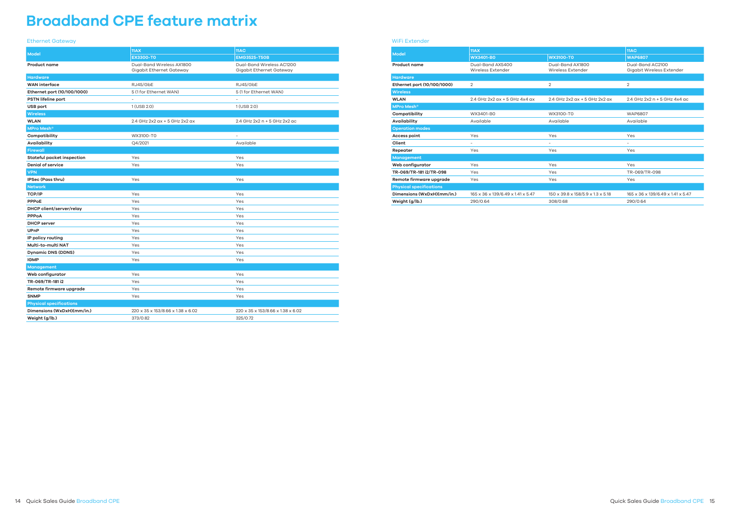#### Ethernet Gateway

| <b>Model</b>                   | 11AX                                                  | 11AC                                                  |
|--------------------------------|-------------------------------------------------------|-------------------------------------------------------|
|                                | <b>EX3300-T0</b>                                      | <b>EMG3525-T50B</b>                                   |
| <b>Product name</b>            | Dual-Band Wireless AX1800<br>Gigabit Ethernet Gateway | Dual-Band Wireless AC1200<br>Gigabit Ethernet Gateway |
| <b>Hardware</b>                |                                                       |                                                       |
| <b>WAN</b> interface           | RJ45/GbE                                              | RJ45/GbE                                              |
| Ethernet port (10/100/1000)    | 5 (1 for Ethernet WAN)                                | 5 (1 for Ethernet WAN)                                |
| <b>PSTN lifeline port</b>      | ÷,                                                    | L.                                                    |
| USB port                       | 1 (USB 2.0)                                           | 1 (USB 2.0)                                           |
| <b>Wireless</b>                |                                                       |                                                       |
| <b>WLAN</b>                    | 2.4 GHz 2x2 ax + 5 GHz 2x2 ax                         | 2.4 GHz 2x2 n + 5 GHz 2x2 ac                          |
| <b>MPro Mesh<sup>®</sup></b>   |                                                       |                                                       |
| Compatibility                  | WX3100-T0                                             | ×.                                                    |
| Availability                   | Q4/2021                                               | Available                                             |
| <b>Firewall</b>                |                                                       |                                                       |
| Stateful packet inspection     | Yes                                                   | Yes                                                   |
| <b>Denial of service</b>       | Yes                                                   | Yes                                                   |
| <b>VPN</b>                     |                                                       |                                                       |
| IPSec (Pass thru)              | Yes                                                   | Yes                                                   |
| <b>Network</b>                 |                                                       |                                                       |
| <b>TCP/IP</b>                  | Yes                                                   | Yes                                                   |
| PPPoE                          | Yes                                                   | Yes                                                   |
| DHCP client/server/relay       | Yes                                                   | Yes                                                   |
| PPPoA                          | Yes                                                   | Yes                                                   |
| <b>DHCP</b> server             | Yes                                                   | Yes                                                   |
| <b>UPnP</b>                    | Yes                                                   | Yes                                                   |
| IP policy routing              | Yes                                                   | Yes                                                   |
| Multi-to-multi NAT             | Yes                                                   | Yes                                                   |
| <b>Dynamic DNS (DDNS)</b>      | Yes                                                   | Yes                                                   |
| <b>IGMP</b>                    | Yes                                                   | Yes                                                   |
| Management                     |                                                       |                                                       |
| Web configurator               | Yes                                                   | Yes                                                   |
| TR-069/TR-181 i2               | Yes                                                   | Yes                                                   |
| Remote firmware upgrade        | Yes                                                   | Yes                                                   |
| <b>SNMP</b>                    | Yes                                                   | Yes                                                   |
| <b>Physical specifications</b> |                                                       |                                                       |
|                                |                                                       |                                                       |
| Dimensions (WxDxH)(mm/in.)     | 220 x 35 x 153/8.66 x 1.38 x 6.02                     | 220 x 35 x 153/8.66 x 1.38 x 6.02                     |

# **Broadband CPE feature matrix**

#### WiFi Extender

|                                | 11AY                                         | <b>11AC</b>                           |                                               |
|--------------------------------|----------------------------------------------|---------------------------------------|-----------------------------------------------|
| <b>Model</b>                   | <b>WX3401-BO</b>                             | <b>WX3100-T0</b>                      | <b>WAP6807</b>                                |
| <b>Product name</b>            | Dual-Band AX5400<br><b>Wireless Extender</b> | Dual-Band AX1800<br>Wireless Extender | Dual-Band AC2100<br>Gigabit Wireless Extender |
| <b>Hardware</b>                |                                              |                                       |                                               |
| Ethernet port (10/100/1000)    | $\overline{2}$                               | $\overline{2}$                        | 2                                             |
| <b>Wireless</b>                |                                              |                                       |                                               |
| <b>WLAN</b>                    | 2.4 GHz 2x2 ax + 5 GHz 4x4 ax                | 2.4 GHz 2x2 ax + 5 GHz 2x2 ax         | 2.4 GHz 2x2 n + 5 GHz 4x4 ac                  |
| <b>MPro Mesh<sup>®</sup></b>   |                                              |                                       |                                               |
| Compatibility                  | WX3401-B0                                    | WX3100-T0                             | <b>WAP6807</b>                                |
| <b>Availability</b>            | Available                                    | Available                             | Available                                     |
| <b>Operation modes</b>         |                                              |                                       |                                               |
| <b>Access point</b>            | Yes                                          | Yes                                   | Yes                                           |
| Client                         | $\overline{\phantom{a}}$                     | $\overline{\phantom{a}}$              | $\overline{\phantom{0}}$                      |
| Repeater                       | Yes                                          | Yes                                   | Yes                                           |
| <b>Management</b>              |                                              |                                       |                                               |
| Web configurator               | Yes                                          | Yes                                   | Yes                                           |
| TR-069/TR-181 i2/TR-098        | Yes                                          | Yes                                   | TR-069/TR-098                                 |
| Remote firmware upgrade        | Yes                                          | Yes                                   | Yes                                           |
| <b>Physical specifications</b> |                                              |                                       |                                               |
| Dimensions (WxDxH)(mm/in.)     | 165 x 36 x 139/6.49 x 1.41 x 5.47            | 150 x 39.8 x 158/5.9 x 1.3 x 5.18     | 165 x 36 x 139/6.49 x 1.41 x 5.47             |
| Weight (g/lb.)                 | 290/0.64                                     | 308/0.68                              | 290/0.64                                      |